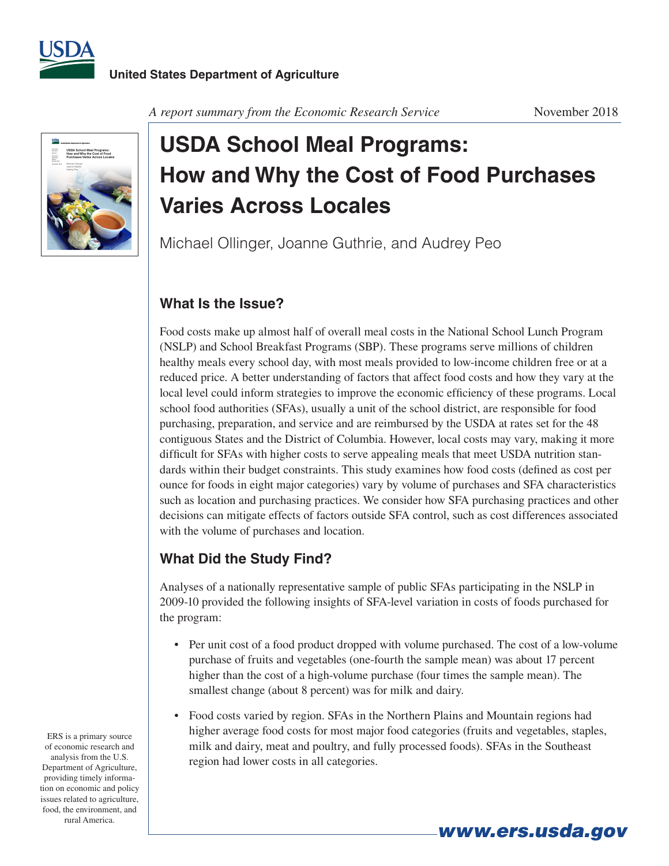



#### *A report summary from the Economic Research Service* November 2018

# **USDA School Meal Programs: How and Why the Cost of Food Purchases Varies Across Locales**

Michael Ollinger, Joanne Guthrie, and Audrey Peo

### **What Is the Issue?**

Food costs make up almost half of overall meal costs in the National School Lunch Program (NSLP) and School Breakfast Programs (SBP). These programs serve millions of children healthy meals every school day, with most meals provided to low-income children free or at a reduced price. A better understanding of factors that affect food costs and how they vary at the local level could inform strategies to improve the economic efficiency of these programs. Local school food authorities (SFAs), usually a unit of the school district, are responsible for food purchasing, preparation, and service and are reimbursed by the USDA at rates set for the 48 contiguous States and the District of Columbia. However, local costs may vary, making it more difficult for SFAs with higher costs to serve appealing meals that meet USDA nutrition standards within their budget constraints. This study examines how food costs (defined as cost per ounce for foods in eight major categories) vary by volume of purchases and SFA characteristics such as location and purchasing practices. We consider how SFA purchasing practices and other decisions can mitigate effects of factors outside SFA control, such as cost differences associated with the volume of purchases and location.

## **What Did the Study Find?**

Analyses of a nationally representative sample of public SFAs participating in the NSLP in 2009-10 provided the following insights of SFA-level variation in costs of foods purchased for the program:

- Per unit cost of a food product dropped with volume purchased. The cost of a low-volume purchase of fruits and vegetables (one-fourth the sample mean) was about 17 percent higher than the cost of a high-volume purchase (four times the sample mean). The smallest change (about 8 percent) was for milk and dairy.
- • Food costs varied by region. SFAs in the Northern Plains and Mountain regions had higher average food costs for most major food categories (fruits and vegetables, staples, milk and dairy, meat and poultry, and fully processed foods). SFAs in the Southeast region had lower costs in all categories.

*www.ers.usda.gov*

ERS is a primary source of economic research and analysis from the U.S. Department of Agriculture, providing timely information on economic and policy issues related to agriculture, food, the environment, and rural America.